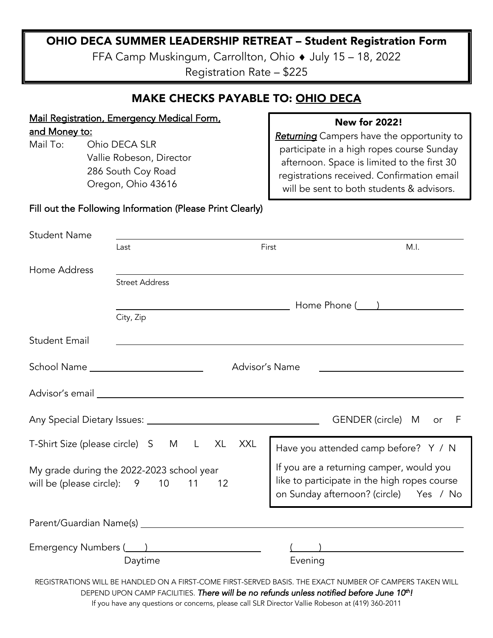# OHIO DECA SUMMER LEADERSHIP RETREAT – Student Registration Form

FFA Camp Muskingum, Carrollton, Ohio ♦ July 15 - 18, 2022

Registration Rate – \$225

| <b>MAKE CHECKS PAYABLE TO: OHIO DECA</b>                                                                                                                                                                                             |                                                                                         |                                                                                                                                                                                                                                                          |  |  |
|--------------------------------------------------------------------------------------------------------------------------------------------------------------------------------------------------------------------------------------|-----------------------------------------------------------------------------------------|----------------------------------------------------------------------------------------------------------------------------------------------------------------------------------------------------------------------------------------------------------|--|--|
| <b>Mail Registration, Emergency Medical Form,</b><br><u>and Money to:</u><br>Mail To:<br>Ohio DECA SLR<br>Vallie Robeson, Director<br>286 South Coy Road<br>Oregon, Ohio 43616                                                       |                                                                                         | <b>New for 2022!</b><br>Returning Campers have the opportunity to<br>participate in a high ropes course Sunday<br>afternoon. Space is limited to the first 30<br>registrations received. Confirmation email<br>will be sent to both students & advisors. |  |  |
| Fill out the Following Information (Please Print Clearly)                                                                                                                                                                            |                                                                                         |                                                                                                                                                                                                                                                          |  |  |
| <b>Student Name</b>                                                                                                                                                                                                                  | Last                                                                                    | First<br>M.I.                                                                                                                                                                                                                                            |  |  |
| Home Address                                                                                                                                                                                                                         | <b>Street Address</b>                                                                   |                                                                                                                                                                                                                                                          |  |  |
|                                                                                                                                                                                                                                      | City, Zip                                                                               |                                                                                                                                                                                                                                                          |  |  |
| <b>Student Email</b>                                                                                                                                                                                                                 |                                                                                         |                                                                                                                                                                                                                                                          |  |  |
| School Name ________________________<br>Advisor's Name                                                                                                                                                                               |                                                                                         |                                                                                                                                                                                                                                                          |  |  |
| Advisor's email <u>expression and the set of the set of the set of the set of the set of the set of the set of the set of the set of the set of the set of the set of the set of the set of the set of the set of the set of the</u> |                                                                                         |                                                                                                                                                                                                                                                          |  |  |
| GENDER (circle) M<br>F<br>or                                                                                                                                                                                                         |                                                                                         |                                                                                                                                                                                                                                                          |  |  |
| T-Shirt Size (please circle) S M L XL XXL                                                                                                                                                                                            |                                                                                         | Have you attended camp before? Y / N                                                                                                                                                                                                                     |  |  |
| My grade during the 2022-2023 school year<br>will be (please circle): 9 10 11<br>12                                                                                                                                                  |                                                                                         | If you are a returning camper, would you<br>like to participate in the high ropes course<br>on Sunday afternoon? (circle) Yes / No                                                                                                                       |  |  |
| Parent/Guardian Name(s)                                                                                                                                                                                                              |                                                                                         |                                                                                                                                                                                                                                                          |  |  |
| Emergency Numbers (2008) 2008 2010 2021 2022 2022 2023 2024 2022 2023 2024 2022 2023<br>Daytime                                                                                                                                      |                                                                                         | Evening                                                                                                                                                                                                                                                  |  |  |
|                                                                                                                                                                                                                                      | DEPEND UPON CAMP FACILITIES. There will be no refunds unless notified before June 10th! | REGISTRATIONS WILL BE HANDLED ON A FIRST-COME FIRST-SERVED BASIS. THE EXACT NUMBER OF CAMPERS TAKEN WILL                                                                                                                                                 |  |  |

If you have any questions or concerns, please call SLR Director Vallie Robeson at (419) 360-2011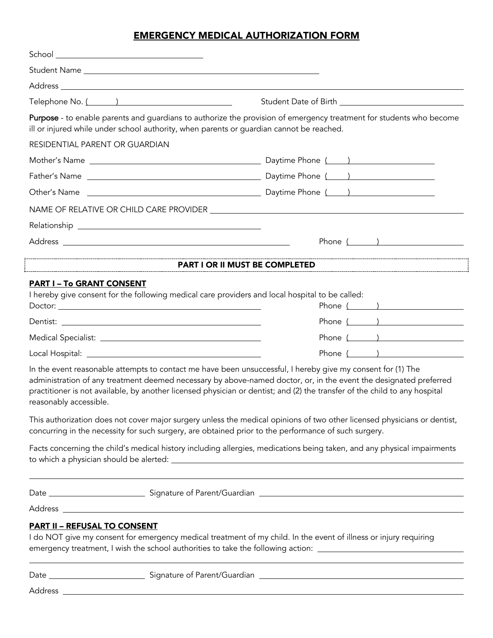#### EMERGENCY MEDICAL AUTHORIZATION FORM

|                                     | Address and the contract of the contract of the contract of the contract of the contract of the contract of the                                                                                                                                                                                                                                                |
|-------------------------------------|----------------------------------------------------------------------------------------------------------------------------------------------------------------------------------------------------------------------------------------------------------------------------------------------------------------------------------------------------------------|
| Telephone No. ( )                   | Student Date of Birth <b>Exercise 2018</b>                                                                                                                                                                                                                                                                                                                     |
|                                     | Purpose - to enable parents and guardians to authorize the provision of emergency treatment for students who become<br>ill or injured while under school authority, when parents or guardian cannot be reached.                                                                                                                                                |
| RESIDENTIAL PARENT OR GUARDIAN      |                                                                                                                                                                                                                                                                                                                                                                |
|                                     |                                                                                                                                                                                                                                                                                                                                                                |
|                                     |                                                                                                                                                                                                                                                                                                                                                                |
|                                     |                                                                                                                                                                                                                                                                                                                                                                |
|                                     |                                                                                                                                                                                                                                                                                                                                                                |
|                                     |                                                                                                                                                                                                                                                                                                                                                                |
|                                     | Phone ( )                                                                                                                                                                                                                                                                                                                                                      |
|                                     | PART I OR II MUST BE COMPLETED                                                                                                                                                                                                                                                                                                                                 |
| <b>PART I - To GRANT CONSENT</b>    | I hereby give consent for the following medical care providers and local hospital to be called:<br>Phone ( )<br>Phone $($ $)$                                                                                                                                                                                                                                  |
|                                     | Phone ( )                                                                                                                                                                                                                                                                                                                                                      |
|                                     | Phone $($ $)$                                                                                                                                                                                                                                                                                                                                                  |
| reasonably accessible.              | In the event reasonable attempts to contact me have been unsuccessful, I hereby give my consent for (1) The<br>administration of any treatment deemed necessary by above-named doctor, or, in the event the designated preferred<br>practitioner is not available, by another licensed physician or dentist; and (2) the transfer of the child to any hospital |
|                                     | This authorization does not cover major surgery unless the medical opinions of two other licensed physicians or dentist,<br>concurring in the necessity for such surgery, are obtained prior to the performance of such surgery.                                                                                                                               |
|                                     | Facts concerning the child's medical history including allergies, medications being taken, and any physical impairments                                                                                                                                                                                                                                        |
|                                     |                                                                                                                                                                                                                                                                                                                                                                |
|                                     |                                                                                                                                                                                                                                                                                                                                                                |
| <b>PART II - REFUSAL TO CONSENT</b> |                                                                                                                                                                                                                                                                                                                                                                |
|                                     | I do NOT give my consent for emergency medical treatment of my child. In the event of illness or injury requiring<br>emergency treatment, I wish the school authorities to take the following action: _____________________________                                                                                                                            |
|                                     | <u> 1980 - Andrea Stadt Britain, amerikansk politik (* 1950)</u>                                                                                                                                                                                                                                                                                               |

Address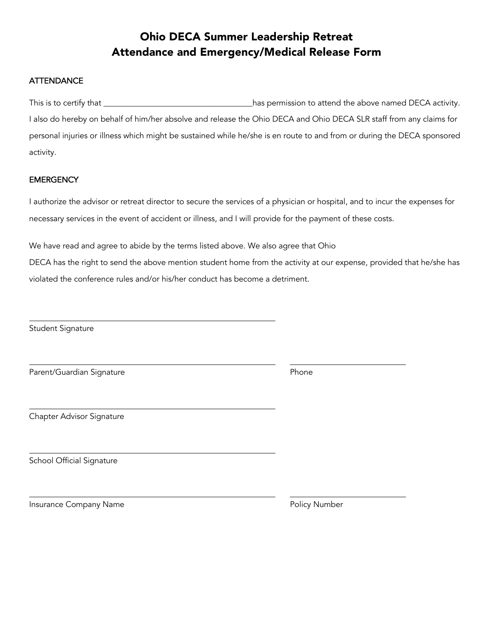# Ohio DECA Summer Leadership Retreat Attendance and Emergency/Medical Release Form

#### **ATTENDANCE**

| This is to certify that ____                                                                                            | has permission to attend the above named DECA activity. |
|-------------------------------------------------------------------------------------------------------------------------|---------------------------------------------------------|
| I also do hereby on behalf of him/her absolve and release the Ohio DECA and Ohio DECA SLR staff from any claims for     |                                                         |
| personal injuries or illness which might be sustained while he/she is en route to and from or during the DECA sponsored |                                                         |
| activity.                                                                                                               |                                                         |

#### **EMERGENCY**

I authorize the advisor or retreat director to secure the services of a physician or hospital, and to incur the expenses for necessary services in the event of accident or illness, and I will provide for the payment of these costs.

We have read and agree to abide by the terms listed above. We also agree that Ohio

DECA has the right to send the above mention student home from the activity at our expense, provided that he/she has violated the conference rules and/or his/her conduct has become a detriment.

Student Signature

Parent/Guardian Signature **Phone** 

Chapter Advisor Signature

School Official Signature

Insurance Company Name **Policy Automaker Company Number** Policy Number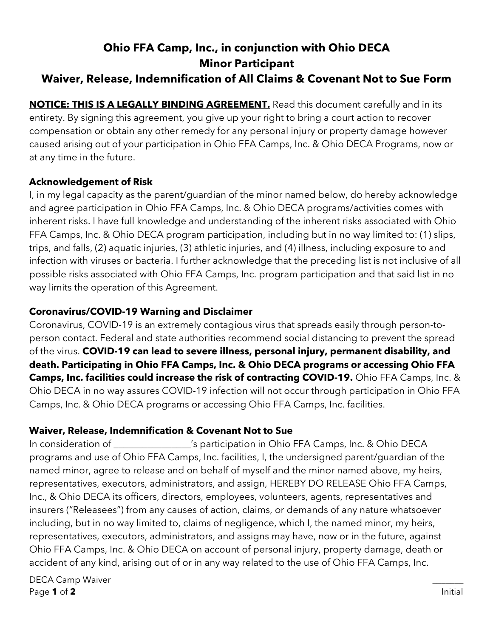# **Ohio FFA Camp, Inc., in conjunction with Ohio DECA Minor Participant**

# **Waiver, Release, Indemnification of All Claims & Covenant Not to Sue Form**

**NOTICE: THIS IS A LEGALLY BINDING AGREEMENT.** Read this document carefully and in its entirety. By signing this agreement, you give up your right to bring a court action to recover compensation or obtain any other remedy for any personal injury or property damage however caused arising out of your participation in Ohio FFA Camps, Inc. & Ohio DECA Programs, now or at any time in the future.

# **Acknowledgement of Risk**

I, in my legal capacity as the parent/guardian of the minor named below, do hereby acknowledge and agree participation in Ohio FFA Camps, Inc. & Ohio DECA programs/activities comes with inherent risks. I have full knowledge and understanding of the inherent risks associated with Ohio FFA Camps, Inc. & Ohio DECA program participation, including but in no way limited to: (1) slips, trips, and falls, (2) aquatic injuries, (3) athletic injuries, and (4) illness, including exposure to and infection with viruses or bacteria. I further acknowledge that the preceding list is not inclusive of all possible risks associated with Ohio FFA Camps, Inc. program participation and that said list in no way limits the operation of this Agreement.

# **Coronavirus/COVID-19 Warning and Disclaimer**

Coronavirus, COVID-19 is an extremely contagious virus that spreads easily through person-toperson contact. Federal and state authorities recommend social distancing to prevent the spread of the virus. **COVID-19 can lead to severe illness, personal injury, permanent disability, and death. Participating in Ohio FFA Camps, Inc. & Ohio DECA programs or accessing Ohio FFA Camps, Inc. facilities could increase the risk of contracting COVID-19.** Ohio FFA Camps, Inc. & Ohio DECA in no way assures COVID-19 infection will not occur through participation in Ohio FFA Camps, Inc. & Ohio DECA programs or accessing Ohio FFA Camps, Inc. facilities.

### **Waiver, Release, Indemnification & Covenant Not to Sue**

In consideration of \_\_\_\_\_\_\_\_\_\_\_\_\_\_\_\_'s participation in Ohio FFA Camps, Inc. & Ohio DECA programs and use of Ohio FFA Camps, Inc. facilities, I, the undersigned parent/guardian of the named minor, agree to release and on behalf of myself and the minor named above, my heirs, representatives, executors, administrators, and assign, HEREBY DO RELEASE Ohio FFA Camps, Inc., & Ohio DECA its officers, directors, employees, volunteers, agents, representatives and insurers ("Releasees") from any causes of action, claims, or demands of any nature whatsoever including, but in no way limited to, claims of negligence, which I, the named minor, my heirs, representatives, executors, administrators, and assigns may have, now or in the future, against Ohio FFA Camps, Inc. & Ohio DECA on account of personal injury, property damage, death or accident of any kind, arising out of or in any way related to the use of Ohio FFA Camps, Inc.

DECA Camp Waiver Page **1** of **2** Initial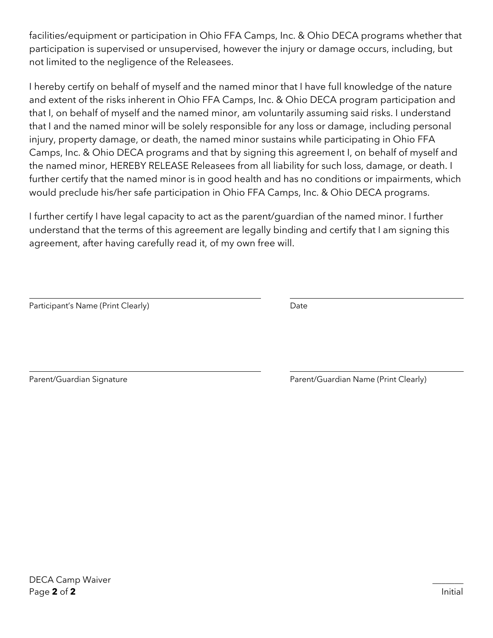facilities/equipment or participation in Ohio FFA Camps, Inc. & Ohio DECA programs whether that participation is supervised or unsupervised, however the injury or damage occurs, including, but not limited to the negligence of the Releasees.

I hereby certify on behalf of myself and the named minor that I have full knowledge of the nature and extent of the risks inherent in Ohio FFA Camps, Inc. & Ohio DECA program participation and that I, on behalf of myself and the named minor, am voluntarily assuming said risks. I understand that I and the named minor will be solely responsible for any loss or damage, including personal injury, property damage, or death, the named minor sustains while participating in Ohio FFA Camps, Inc. & Ohio DECA programs and that by signing this agreement I, on behalf of myself and the named minor, HEREBY RELEASE Releasees from all liability for such loss, damage, or death. I further certify that the named minor is in good health and has no conditions or impairments, which would preclude his/her safe participation in Ohio FFA Camps, Inc. & Ohio DECA programs.

I further certify I have legal capacity to act as the parent/guardian of the named minor. I further understand that the terms of this agreement are legally binding and certify that I am signing this agreement, after having carefully read it, of my own free will.

| Participant's Name (Print Clearly) | Date |
|------------------------------------|------|
|                                    |      |

Parent/Guardian Signature **Parent/Guardian Name (Print Clearly)**